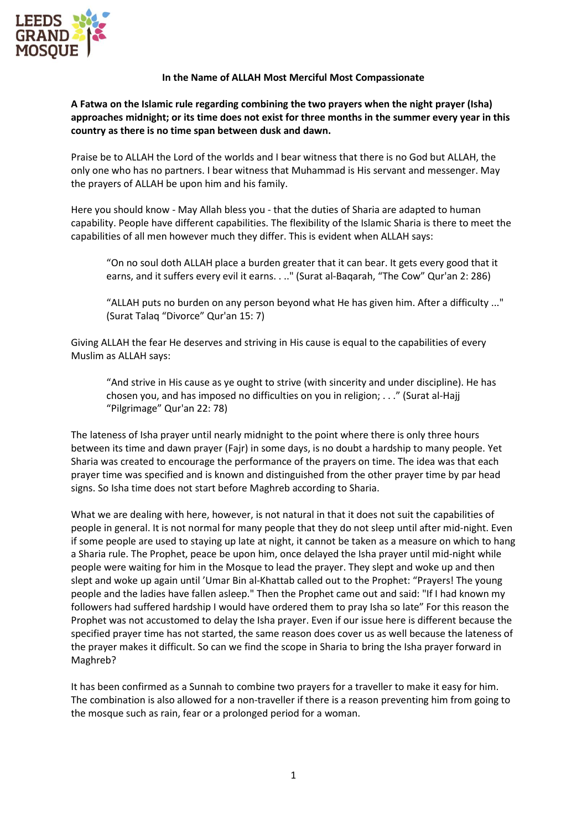

## **In the Name of ALLAH Most Merciful Most Compassionate**

**A Fatwa on the Islamic rule regarding combining the two prayers when the night prayer (Isha) approaches midnight; or its time does not exist for three months in the summer every year in this country as there is no time span between dusk and dawn.**

Praise be to ALLAH the Lord of the worlds and I bear witness that there is no God but ALLAH, the only one who has no partners. I bear witness that Muhammad is His servant and messenger. May the prayers of ALLAH be upon him and his family.

Here you should know - May Allah bless you - that the duties of Sharia are adapted to human capability. People have different capabilities. The flexibility of the Islamic Sharia is there to meet the capabilities of all men however much they differ. This is evident when ALLAH says:

"On no soul doth ALLAH place a burden greater that it can bear. It gets every good that it earns, and it suffers every evil it earns. . .." (Surat al-Baqarah, "The Cow" Qur'an 2: 286)

"ALLAH puts no burden on any person beyond what He has given him. After a difficulty ..." (Surat Talaq "Divorce" Qur'an 15: 7)

Giving ALLAH the fear He deserves and striving in His cause is equal to the capabilities of every Muslim as ALLAH says:

"And strive in His cause as ye ought to strive (with sincerity and under discipline). He has chosen you, and has imposed no difficulties on you in religion; . . ." (Surat al-Hajj "Pilgrimage" Qur'an 22: 78)

The lateness of Isha prayer until nearly midnight to the point where there is only three hours between its time and dawn prayer (Fajr) in some days, is no doubt a hardship to many people. Yet Sharia was created to encourage the performance of the prayers on time. The idea was that each prayer time was specified and is known and distinguished from the other prayer time by par head signs. So Isha time does not start before Maghreb according to Sharia.

What we are dealing with here, however, is not natural in that it does not suit the capabilities of people in general. It is not normal for many people that they do not sleep until after mid-night. Even if some people are used to staying up late at night, it cannot be taken as a measure on which to hang a Sharia rule. The Prophet, peace be upon him, once delayed the Isha prayer until mid-night while people were waiting for him in the Mosque to lead the prayer. They slept and woke up and then slept and woke up again until 'Umar Bin al-Khattab called out to the Prophet: "Prayers! The young people and the ladies have fallen asleep." Then the Prophet came out and said: "If I had known my followers had suffered hardship I would have ordered them to pray Isha so late" For this reason the Prophet was not accustomed to delay the Isha prayer. Even if our issue here is different because the specified prayer time has not started, the same reason does cover us as well because the lateness of the prayer makes it difficult. So can we find the scope in Sharia to bring the Isha prayer forward in Maghreb?

It has been confirmed as a Sunnah to combine two prayers for a traveller to make it easy for him. The combination is also allowed for a non-traveller if there is a reason preventing him from going to the mosque such as rain, fear or a prolonged period for a woman.